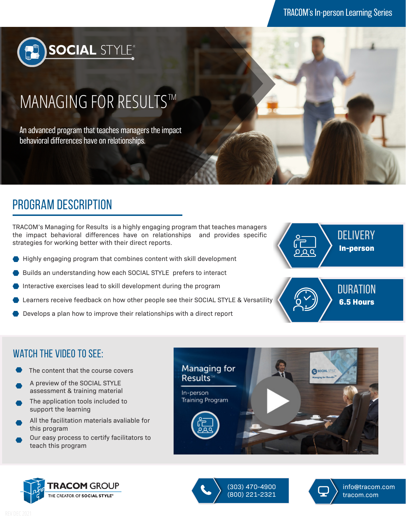

# MANAGING FOR RESULTS™

An advanced program that teaches managers the impact behavioral differences have on relationships.

# program description

TRACOM's Managing for Results is a highly engaging program that teaches managers the impact behavioral differences have on relationships and provides specific strategies for working better with their direct reports.

- Highly engaging program that combines content with skill development
- Builds an understanding how each SOCIAL STYLE prefers to interact
- Interactive exercises lead to skill development during the program
- Learners receive feedback on how other people see their SOCIAL STYLE & Versatility
- Develops a plan how to improve their relationships with a direct report





#### WATCH THE VIDEO TO SEE:

- The content that the course covers
- A preview of the SOCIAL STYLE assessment & training material
- The application tools included to support the learning
- All the facilitation materials avaliable for this program
- Our easy process to certify facilitators to teach this program







(303) 470-4900 (800) 221-2321